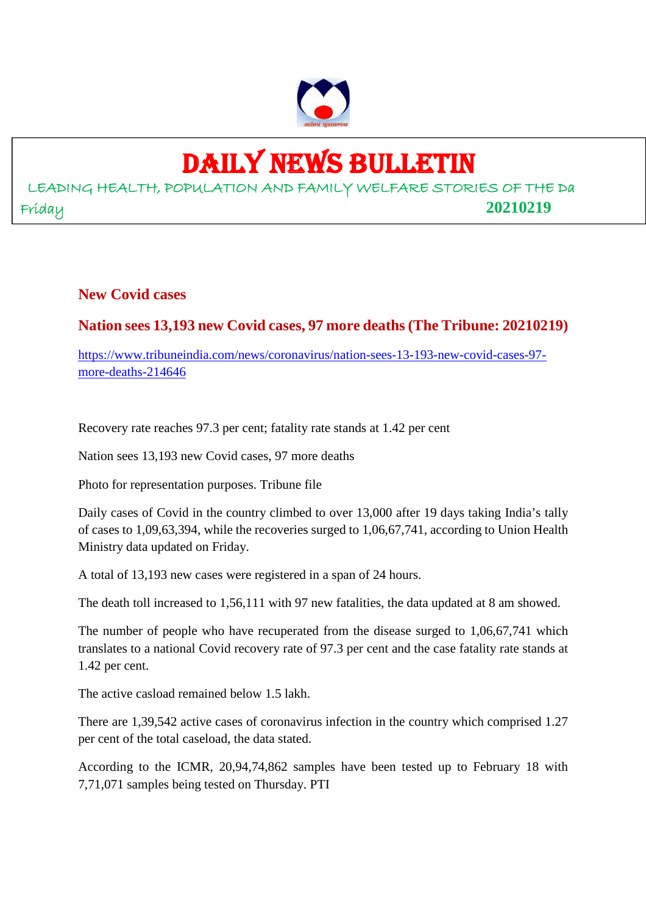

### DAILY NEWS BULLETIN

LEADING HEALTH, POPULATION AND FAMILY WELFARE STORIES OF THE Da Friday **20210219**

**New Covid cases**

#### **Nation sees 13,193 new Covid cases, 97 more deaths (The Tribune: 20210219)**

https://www.tribuneindia.com/news/coronavirus/nation-sees-13-193-new-covid-cases-97 more-deaths-214646

Recovery rate reaches 97.3 per cent; fatality rate stands at 1.42 per cent

Nation sees 13,193 new Covid cases, 97 more deaths

Photo for representation purposes. Tribune file

Daily cases of Covid in the country climbed to over 13,000 after 19 days taking India's tally of cases to 1,09,63,394, while the recoveries surged to 1,06,67,741, according to Union Health Ministry data updated on Friday.

A total of 13,193 new cases were registered in a span of 24 hours.

The death toll increased to 1,56,111 with 97 new fatalities, the data updated at 8 am showed.

The number of people who have recuperated from the disease surged to 1,06,67,741 which translates to a national Covid recovery rate of 97.3 per cent and the case fatality rate stands at 1.42 per cent.

The active casload remained below 1.5 lakh.

There are 1,39,542 active cases of coronavirus infection in the country which comprised 1.27 per cent of the total caseload, the data stated.

According to the ICMR, 20,94,74,862 samples have been tested up to February 18 with 7,71,071 samples being tested on Thursday. PTI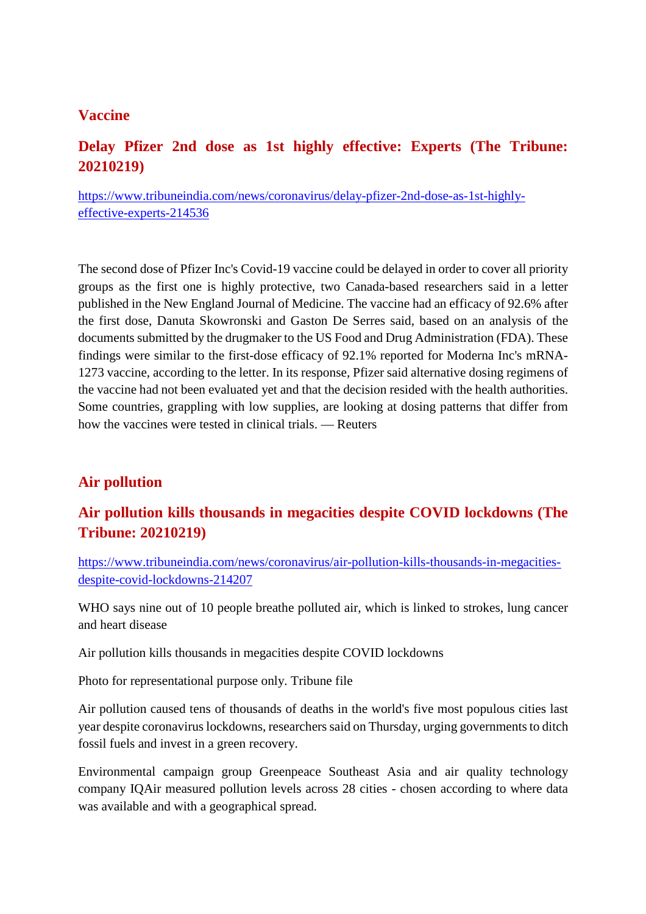#### **Vaccine**

#### **Delay Pfizer 2nd dose as 1st highly effective: Experts (The Tribune: 20210219)**

https://www.tribuneindia.com/news/coronavirus/delay-pfizer-2nd-dose-as-1st-highlyeffective-experts-214536

The second dose of Pfizer Inc's Covid-19 vaccine could be delayed in order to cover all priority groups as the first one is highly protective, two Canada-based researchers said in a letter published in the New England Journal of Medicine. The vaccine had an efficacy of 92.6% after the first dose, Danuta Skowronski and Gaston De Serres said, based on an analysis of the documents submitted by the drugmaker to the US Food and Drug Administration (FDA). These findings were similar to the first-dose efficacy of 92.1% reported for Moderna Inc's mRNA-1273 vaccine, according to the letter. In its response, Pfizer said alternative dosing regimens of the vaccine had not been evaluated yet and that the decision resided with the health authorities. Some countries, grappling with low supplies, are looking at dosing patterns that differ from how the vaccines were tested in clinical trials. — Reuters

#### **Air pollution**

#### **Air pollution kills thousands in megacities despite COVID lockdowns (The Tribune: 20210219)**

https://www.tribuneindia.com/news/coronavirus/air-pollution-kills-thousands-in-megacitiesdespite-covid-lockdowns-214207

WHO says nine out of 10 people breathe polluted air, which is linked to strokes, lung cancer and heart disease

Air pollution kills thousands in megacities despite COVID lockdowns

Photo for representational purpose only. Tribune file

Air pollution caused tens of thousands of deaths in the world's five most populous cities last year despite coronavirus lockdowns, researchers said on Thursday, urging governments to ditch fossil fuels and invest in a green recovery.

Environmental campaign group Greenpeace Southeast Asia and air quality technology company IQAir measured pollution levels across 28 cities - chosen according to where data was available and with a geographical spread.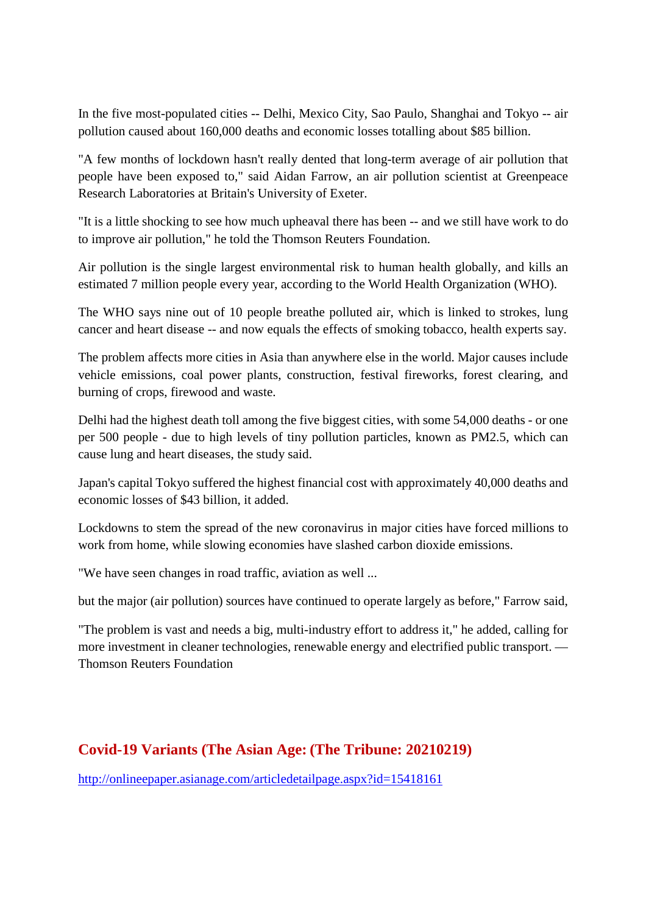In the five most-populated cities -- Delhi, Mexico City, Sao Paulo, Shanghai and Tokyo -- air pollution caused about 160,000 deaths and economic losses totalling about \$85 billion.

"A few months of lockdown hasn't really dented that long-term average of air pollution that people have been exposed to," said Aidan Farrow, an air pollution scientist at Greenpeace Research Laboratories at Britain's University of Exeter.

"It is a little shocking to see how much upheaval there has been -- and we still have work to do to improve air pollution," he told the Thomson Reuters Foundation.

Air pollution is the single largest environmental risk to human health globally, and kills an estimated 7 million people every year, according to the World Health Organization (WHO).

The WHO says nine out of 10 people breathe polluted air, which is linked to strokes, lung cancer and heart disease -- and now equals the effects of smoking tobacco, health experts say.

The problem affects more cities in Asia than anywhere else in the world. Major causes include vehicle emissions, coal power plants, construction, festival fireworks, forest clearing, and burning of crops, firewood and waste.

Delhi had the highest death toll among the five biggest cities, with some 54,000 deaths - or one per 500 people - due to high levels of tiny pollution particles, known as PM2.5, which can cause lung and heart diseases, the study said.

Japan's capital Tokyo suffered the highest financial cost with approximately 40,000 deaths and economic losses of \$43 billion, it added.

Lockdowns to stem the spread of the new coronavirus in major cities have forced millions to work from home, while slowing economies have slashed carbon dioxide emissions.

"We have seen changes in road traffic, aviation as well ...

but the major (air pollution) sources have continued to operate largely as before," Farrow said,

"The problem is vast and needs a big, multi-industry effort to address it," he added, calling for more investment in cleaner technologies, renewable energy and electrified public transport. — Thomson Reuters Foundation

#### **Covid-19 Variants (The Asian Age: (The Tribune: 20210219)**

http://onlineepaper.asianage.com/articledetailpage.aspx?id=15418161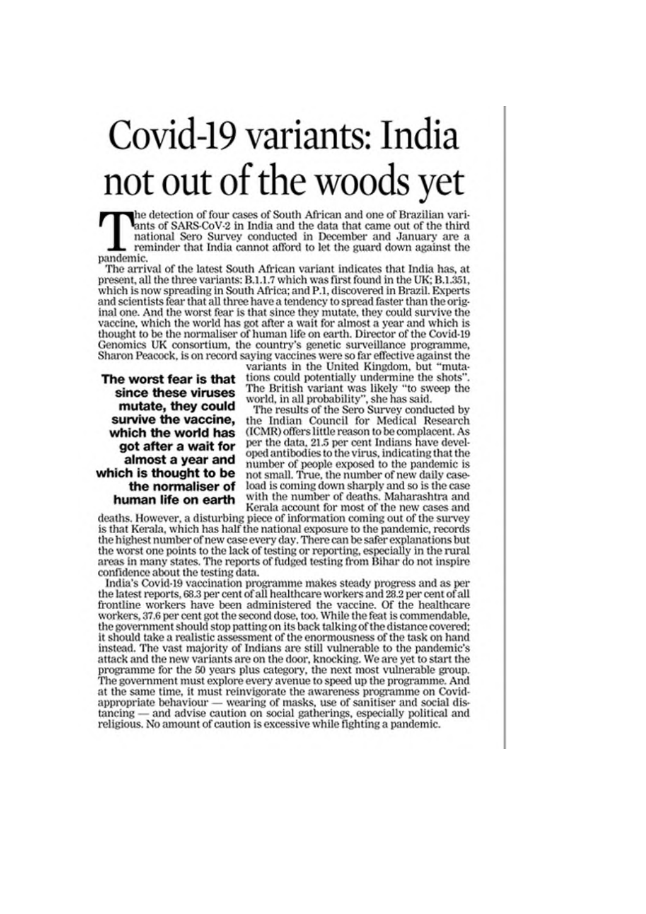## Covid-19 variants: India not out of the woods yet

the detection of four cases of South African and one of Brazilian variants of SARS-CoV-2 in India and the data that came out of the third national Sero Survey conducted in December and January are a reminder that India cannot afford to let the guard down against the pandemic.

The arrival of the latest South African variant indicates that India has, at present, all the three variants: B.1.1.7 which was first found in the UK; B.1.351, which is now spreading in South Africa; and P.1, discovered in Brazil. Experts and scientists fear that all three have a tendency to spread faster than the original one. And the worst fear is that since they mutate, they could survive the vaccine, which the world has got after a wait for almost a year and which is thought to be the normaliser of human life on earth. Director of the Covid-19 Genomics UK consortium, the country's genetic surveillance programme, Sharon Peacock, is on record saying vaccines were so far effective against the

The worst fear is that since these viruses mutate, they could survive the vaccine. which the world has got after a wait for almost a year and which is thought to be the normaliser of human life on earth

variants in the United Kingdom, but "mutations could potentially undermine the shots' The British variant was likely "to sweep the world, in all probability", she has said.

The results of the Sero Survey conducted by the Indian Council for Medical Research (ICMR) offers little reason to be complacent. As per the data, 21.5 per cent Indians have developed antibodies to the virus, indicating that the number of people exposed to the pandemic is not small. True, the number of new daily caseload is coming down sharply and so is the case with the number of deaths. Maharashtra and Kerala account for most of the new cases and

deaths. However, a disturbing piece of information coming out of the survey is that Kerala, which has half the national exposure to the pandemic, records the highest number of new case every day. There can be safer explanations but the worst one points to the lack of testing or reporting, especially in the rural areas in many states. The reports of fudged testing from Bihar do not inspire confidence about the testing data.

India's Covid-19 vaccination programme makes steady progress and as per the latest reports, 68.3 per cent of all healthcare workers and 28.2 per cent of all frontline workers have been administered the vaccine. Of the healthcare workers, 37.6 per cent got the second dose, too. While the feat is commendable. the government should stop patting on its back talking of the distance covered; it should take a realistic assessment of the enormousness of the task on hand instead. The vast majority of Indians are still vulnerable to the pandemic's attack and the new variants are on the door, knocking. We are yet to start the programme for the 50 years plus category, the next most vulnerable group.<br>The government must explore every avenue to speed up the programme. And at the same time, it must reinvigorate the awareness programme on Covidappropriate behaviour — wearing of masks, use of sanitiser and social dis $taneing$  and advise caution on social gatherings, especially political and religious. No amount of caution is excessive while fighting a pandemic.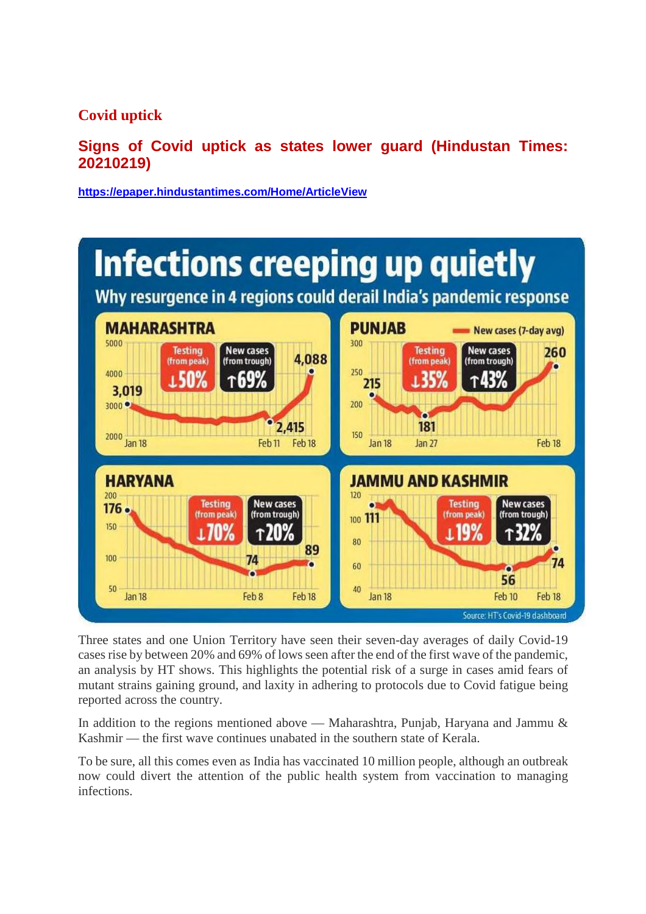**Covid uptick**

**Signs of Covid uptick as states lower guard (Hindustan Times: 20210219)**

**https://epaper.hindustantimes.com/Home/ArticleView**



Three states and one Union Territory have seen their seven-day averages of daily Covid-19 cases rise by between 20% and 69% of lows seen after the end of the first wave of the pandemic, an analysis by HT shows. This highlights the potential risk of a surge in cases amid fears of mutant strains gaining ground, and laxity in adhering to protocols due to Covid fatigue being reported across the country.

In addition to the regions mentioned above — Maharashtra, Punjab, Haryana and Jammu & Kashmir — the first wave continues unabated in the southern state of Kerala.

To be sure, all this comes even as India has vaccinated 10 million people, although an outbreak now could divert the attention of the public health system from vaccination to managing infections.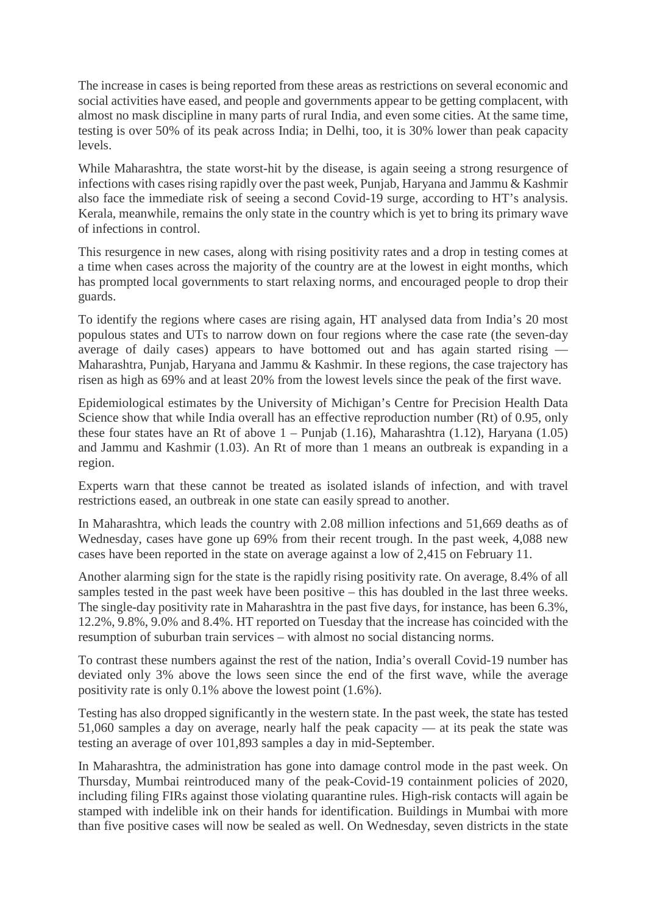The increase in cases is being reported from these areas as restrictions on several economic and social activities have eased, and people and governments appear to be getting complacent, with almost no mask discipline in many parts of rural India, and even some cities. At the same time, testing is over 50% of its peak across India; in Delhi, too, it is 30% lower than peak capacity levels.

While Maharashtra, the state worst-hit by the disease, is again seeing a strong resurgence of infections with cases rising rapidly over the past week, Punjab, Haryana and Jammu & Kashmir also face the immediate risk of seeing a second Covid-19 surge, according to HT's analysis. Kerala, meanwhile, remains the only state in the country which is yet to bring its primary wave of infections in control.

This resurgence in new cases, along with rising positivity rates and a drop in testing comes at a time when cases across the majority of the country are at the lowest in eight months, which has prompted local governments to start relaxing norms, and encouraged people to drop their guards.

To identify the regions where cases are rising again, HT analysed data from India's 20 most populous states and UTs to narrow down on four regions where the case rate (the seven-day average of daily cases) appears to have bottomed out and has again started rising — Maharashtra, Punjab, Haryana and Jammu & Kashmir. In these regions, the case trajectory has risen as high as 69% and at least 20% from the lowest levels since the peak of the first wave.

Epidemiological estimates by the University of Michigan's Centre for Precision Health Data Science show that while India overall has an effective reproduction number (Rt) of 0.95, only these four states have an Rt of above  $1 -$  Punjab (1.16), Maharashtra (1.12), Haryana (1.05) and Jammu and Kashmir (1.03). An Rt of more than 1 means an outbreak is expanding in a region.

Experts warn that these cannot be treated as isolated islands of infection, and with travel restrictions eased, an outbreak in one state can easily spread to another.

In Maharashtra, which leads the country with 2.08 million infections and 51,669 deaths as of Wednesday, cases have gone up 69% from their recent trough. In the past week, 4,088 new cases have been reported in the state on average against a low of 2,415 on February 11.

Another alarming sign for the state is the rapidly rising positivity rate. On average, 8.4% of all samples tested in the past week have been positive – this has doubled in the last three weeks. The single-day positivity rate in Maharashtra in the past five days, for instance, has been 6.3%, 12.2%, 9.8%, 9.0% and 8.4%. HT reported on Tuesday that the increase has coincided with the resumption of suburban train services – with almost no social distancing norms.

To contrast these numbers against the rest of the nation, India's overall Covid-19 number has deviated only 3% above the lows seen since the end of the first wave, while the average positivity rate is only 0.1% above the lowest point (1.6%).

Testing has also dropped significantly in the western state. In the past week, the state has tested 51,060 samples a day on average, nearly half the peak capacity — at its peak the state was testing an average of over 101,893 samples a day in mid-September.

In Maharashtra, the administration has gone into damage control mode in the past week. On Thursday, Mumbai reintroduced many of the peak-Covid-19 containment policies of 2020, including filing FIRs against those violating quarantine rules. High-risk contacts will again be stamped with indelible ink on their hands for identification. Buildings in Mumbai with more than five positive cases will now be sealed as well. On Wednesday, seven districts in the state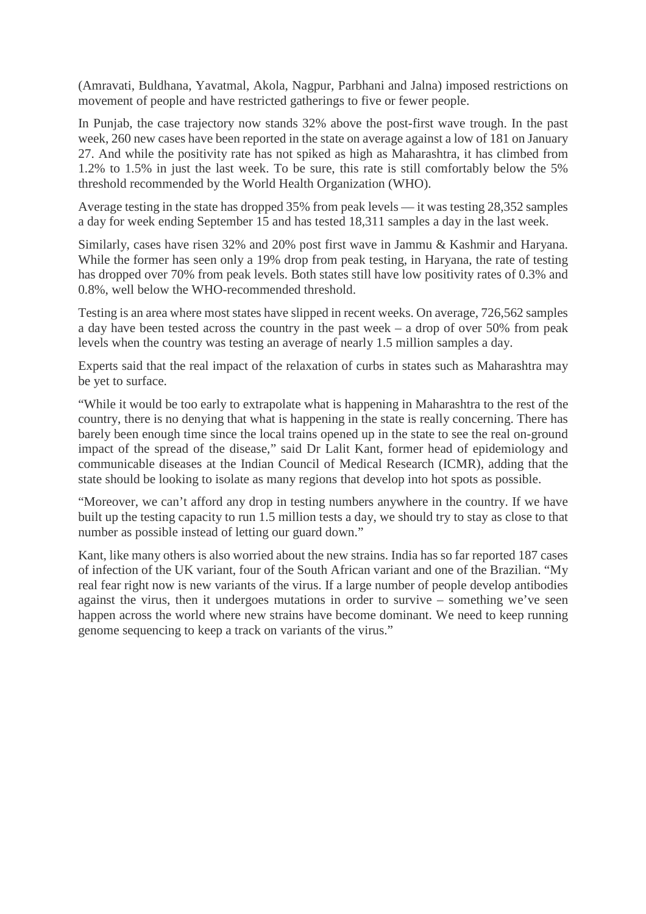(Amravati, Buldhana, Yavatmal, Akola, Nagpur, Parbhani and Jalna) imposed restrictions on movement of people and have restricted gatherings to five or fewer people.

In Punjab, the case trajectory now stands 32% above the post-first wave trough. In the past week, 260 new cases have been reported in the state on average against a low of 181 on January 27. And while the positivity rate has not spiked as high as Maharashtra, it has climbed from 1.2% to 1.5% in just the last week. To be sure, this rate is still comfortably below the 5% threshold recommended by the World Health Organization (WHO).

Average testing in the state has dropped 35% from peak levels — it was testing 28,352 samples a day for week ending September 15 and has tested 18,311 samples a day in the last week.

Similarly, cases have risen 32% and 20% post first wave in Jammu & Kashmir and Haryana. While the former has seen only a 19% drop from peak testing, in Haryana, the rate of testing has dropped over 70% from peak levels. Both states still have low positivity rates of 0.3% and 0.8%, well below the WHO-recommended threshold.

Testing is an area where most states have slipped in recent weeks. On average, 726,562 samples a day have been tested across the country in the past week – a drop of over 50% from peak levels when the country was testing an average of nearly 1.5 million samples a day.

Experts said that the real impact of the relaxation of curbs in states such as Maharashtra may be yet to surface.

"While it would be too early to extrapolate what is happening in Maharashtra to the rest of the country, there is no denying that what is happening in the state is really concerning. There has barely been enough time since the local trains opened up in the state to see the real on-ground impact of the spread of the disease," said Dr Lalit Kant, former head of epidemiology and communicable diseases at the Indian Council of Medical Research (ICMR), adding that the state should be looking to isolate as many regions that develop into hot spots as possible.

"Moreover, we can't afford any drop in testing numbers anywhere in the country. If we have built up the testing capacity to run 1.5 million tests a day, we should try to stay as close to that number as possible instead of letting our guard down."

Kant, like many others is also worried about the new strains. India has so far reported 187 cases of infection of the UK variant, four of the South African variant and one of the Brazilian. "My real fear right now is new variants of the virus. If a large number of people develop antibodies against the virus, then it undergoes mutations in order to survive – something we've seen happen across the world where new strains have become dominant. We need to keep running genome sequencing to keep a track on variants of the virus."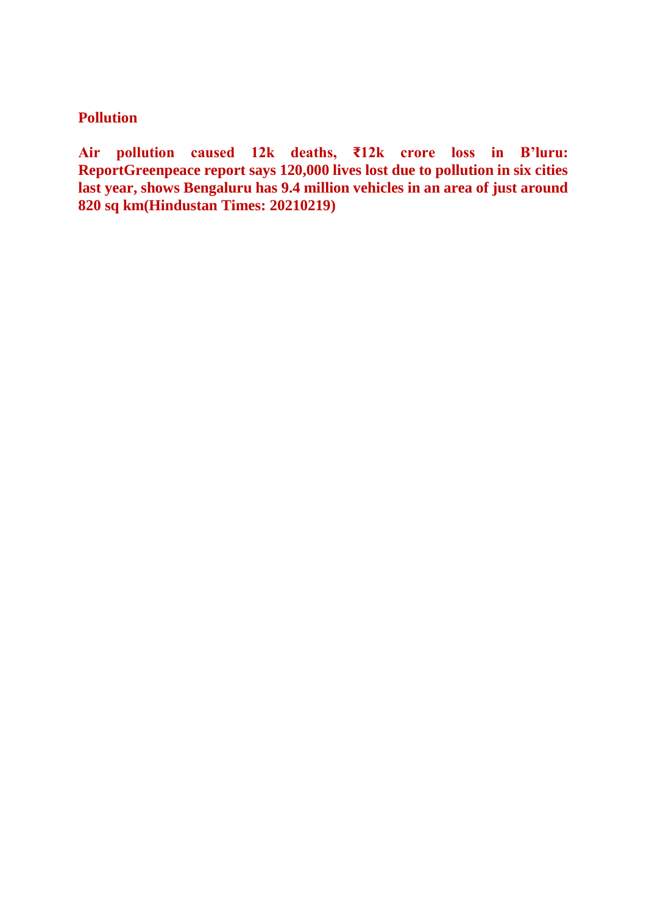#### **Pollution**

**Air pollution caused 12k deaths, ₹12k crore loss in B'luru: ReportGreenpeace report says 120,000 lives lost due to pollution in six cities last year, shows Bengaluru has 9.4 million vehicles in an area of just around 820 sq km(Hindustan Times: 20210219)**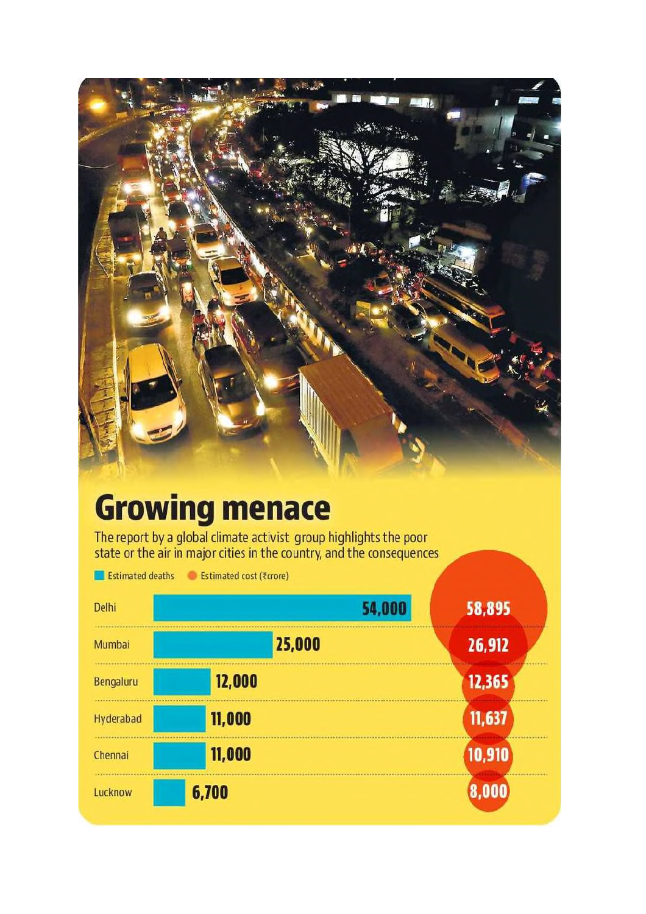

## **Growing menace**

The report by a global climate activist group highlights the poor<br>state or the air in major cities in the country, and the consequences

| Estimated deaths | Estimated cost ( <i>tcrore</i> ) |        |
|------------------|----------------------------------|--------|
| Delhi            | 54,000                           | 58,895 |
| Mumbai           | 25,000                           | 26,912 |
| Bengaluru        | 12,000                           | 12,365 |
| Hyderabad        | 11,000                           | 11,637 |
| Chennai          | 11,000                           | 10,910 |
| Lucknow          | 6,700                            | .000   |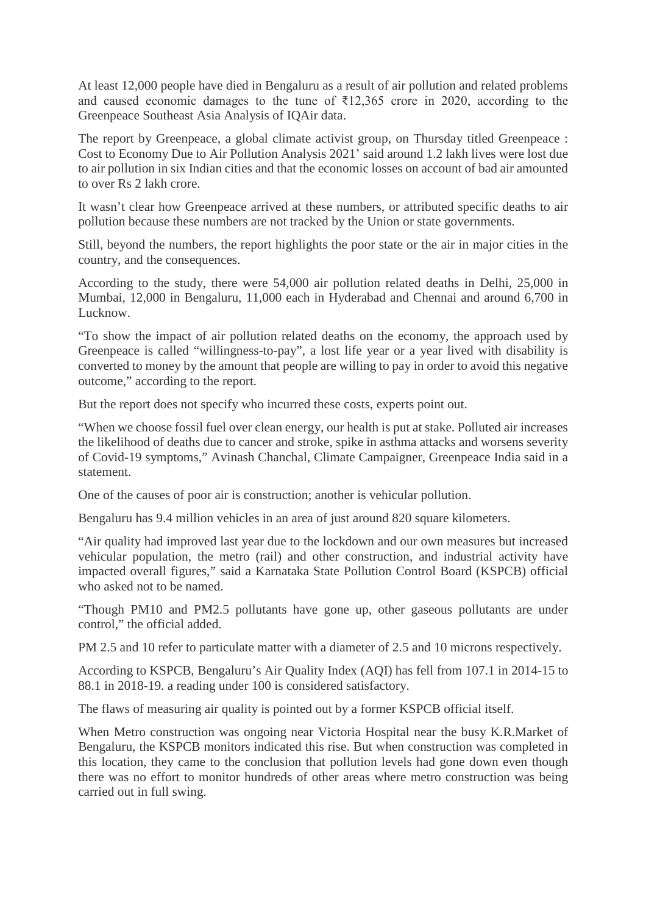At least 12,000 people have died in Bengaluru as a result of air pollution and related problems and caused economic damages to the tune of ₹12,365 crore in 2020, according to the Greenpeace Southeast Asia Analysis of IQAir data.

The report by Greenpeace, a global climate activist group, on Thursday titled Greenpeace : Cost to Economy Due to Air Pollution Analysis 2021' said around 1.2 lakh lives were lost due to air pollution in six Indian cities and that the economic losses on account of bad air amounted to over Rs 2 lakh crore.

It wasn't clear how Greenpeace arrived at these numbers, or attributed specific deaths to air pollution because these numbers are not tracked by the Union or state governments.

Still, beyond the numbers, the report highlights the poor state or the air in major cities in the country, and the consequences.

According to the study, there were 54,000 air pollution related deaths in Delhi, 25,000 in Mumbai, 12,000 in Bengaluru, 11,000 each in Hyderabad and Chennai and around 6,700 in Lucknow.

"To show the impact of air pollution related deaths on the economy, the approach used by Greenpeace is called "willingness-to-pay", a lost life year or a year lived with disability is converted to money by the amount that people are willing to pay in order to avoid this negative outcome," according to the report.

But the report does not specify who incurred these costs, experts point out.

"When we choose fossil fuel over clean energy, our health is put at stake. Polluted air increases the likelihood of deaths due to cancer and stroke, spike in asthma attacks and worsens severity of Covid-19 symptoms," Avinash Chanchal, Climate Campaigner, Greenpeace India said in a statement.

One of the causes of poor air is construction; another is vehicular pollution.

Bengaluru has 9.4 million vehicles in an area of just around 820 square kilometers.

"Air quality had improved last year due to the lockdown and our own measures but increased vehicular population, the metro (rail) and other construction, and industrial activity have impacted overall figures," said a Karnataka State Pollution Control Board (KSPCB) official who asked not to be named.

"Though PM10 and PM2.5 pollutants have gone up, other gaseous pollutants are under control," the official added.

PM 2.5 and 10 refer to particulate matter with a diameter of 2.5 and 10 microns respectively.

According to KSPCB, Bengaluru's Air Quality Index (AQI) has fell from 107.1 in 2014-15 to 88.1 in 2018-19. a reading under 100 is considered satisfactory.

The flaws of measuring air quality is pointed out by a former KSPCB official itself.

When Metro construction was ongoing near Victoria Hospital near the busy K.R.Market of Bengaluru, the KSPCB monitors indicated this rise. But when construction was completed in this location, they came to the conclusion that pollution levels had gone down even though there was no effort to monitor hundreds of other areas where metro construction was being carried out in full swing.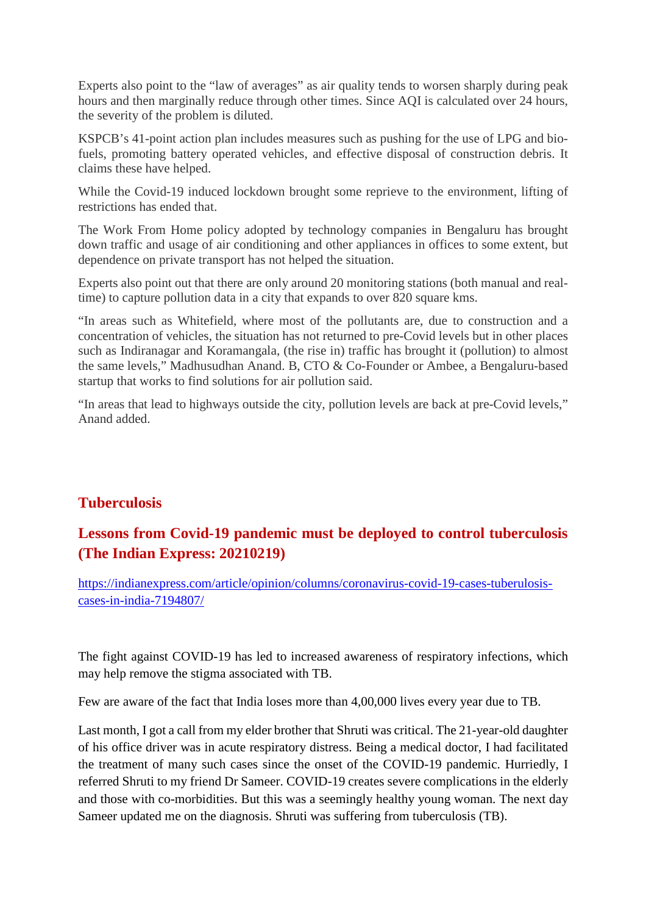Experts also point to the "law of averages" as air quality tends to worsen sharply during peak hours and then marginally reduce through other times. Since AQI is calculated over 24 hours, the severity of the problem is diluted.

KSPCB's 41-point action plan includes measures such as pushing for the use of LPG and biofuels, promoting battery operated vehicles, and effective disposal of construction debris. It claims these have helped.

While the Covid-19 induced lockdown brought some reprieve to the environment, lifting of restrictions has ended that.

The Work From Home policy adopted by technology companies in Bengaluru has brought down traffic and usage of air conditioning and other appliances in offices to some extent, but dependence on private transport has not helped the situation.

Experts also point out that there are only around 20 monitoring stations (both manual and realtime) to capture pollution data in a city that expands to over 820 square kms.

"In areas such as Whitefield, where most of the pollutants are, due to construction and a concentration of vehicles, the situation has not returned to pre-Covid levels but in other places such as Indiranagar and Koramangala, (the rise in) traffic has brought it (pollution) to almost the same levels," Madhusudhan Anand. B, CTO & Co-Founder or Ambee, a Bengaluru-based startup that works to find solutions for air pollution said.

"In areas that lead to highways outside the city, pollution levels are back at pre-Covid levels," Anand added.

#### **Tuberculosis**

#### **Lessons from Covid-19 pandemic must be deployed to control tuberculosis (The Indian Express: 20210219)**

https://indianexpress.com/article/opinion/columns/coronavirus-covid-19-cases-tuberulosiscases-in-india-7194807/

The fight against COVID-19 has led to increased awareness of respiratory infections, which may help remove the stigma associated with TB.

Few are aware of the fact that India loses more than 4,00,000 lives every year due to TB.

Last month, I got a call from my elder brother that Shruti was critical. The 21-year-old daughter of his office driver was in acute respiratory distress. Being a medical doctor, I had facilitated the treatment of many such cases since the onset of the COVID-19 pandemic. Hurriedly, I referred Shruti to my friend Dr Sameer. COVID-19 creates severe complications in the elderly and those with co-morbidities. But this was a seemingly healthy young woman. The next day Sameer updated me on the diagnosis. Shruti was suffering from tuberculosis (TB).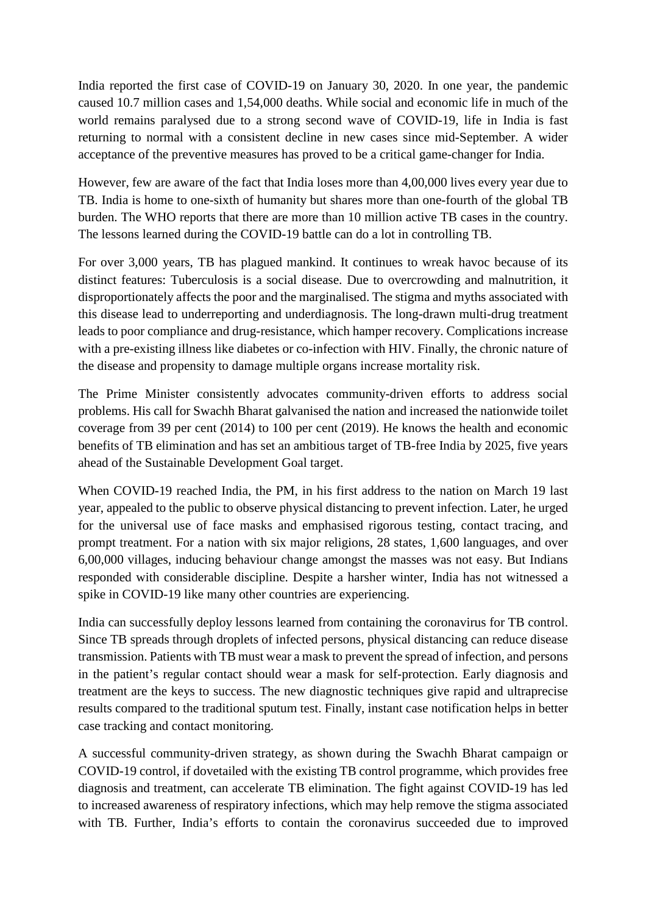India reported the first case of COVID-19 on January 30, 2020. In one year, the pandemic caused 10.7 million cases and 1,54,000 deaths. While social and economic life in much of the world remains paralysed due to a strong second wave of COVID-19, life in India is fast returning to normal with a consistent decline in new cases since mid-September. A wider acceptance of the preventive measures has proved to be a critical game-changer for India.

However, few are aware of the fact that India loses more than 4,00,000 lives every year due to TB. India is home to one-sixth of humanity but shares more than one-fourth of the global TB burden. The WHO reports that there are more than 10 million active TB cases in the country. The lessons learned during the COVID-19 battle can do a lot in controlling TB.

For over 3,000 years, TB has plagued mankind. It continues to wreak havoc because of its distinct features: Tuberculosis is a social disease. Due to overcrowding and malnutrition, it disproportionately affects the poor and the marginalised. The stigma and myths associated with this disease lead to underreporting and underdiagnosis. The long-drawn multi-drug treatment leads to poor compliance and drug-resistance, which hamper recovery. Complications increase with a pre-existing illness like diabetes or co-infection with HIV. Finally, the chronic nature of the disease and propensity to damage multiple organs increase mortality risk.

The Prime Minister consistently advocates community-driven efforts to address social problems. His call for Swachh Bharat galvanised the nation and increased the nationwide toilet coverage from 39 per cent (2014) to 100 per cent (2019). He knows the health and economic benefits of TB elimination and has set an ambitious target of TB-free India by 2025, five years ahead of the Sustainable Development Goal target.

When COVID-19 reached India, the PM, in his first address to the nation on March 19 last year, appealed to the public to observe physical distancing to prevent infection. Later, he urged for the universal use of face masks and emphasised rigorous testing, contact tracing, and prompt treatment. For a nation with six major religions, 28 states, 1,600 languages, and over 6,00,000 villages, inducing behaviour change amongst the masses was not easy. But Indians responded with considerable discipline. Despite a harsher winter, India has not witnessed a spike in COVID-19 like many other countries are experiencing.

India can successfully deploy lessons learned from containing the coronavirus for TB control. Since TB spreads through droplets of infected persons, physical distancing can reduce disease transmission. Patients with TB must wear a mask to prevent the spread of infection, and persons in the patient's regular contact should wear a mask for self-protection. Early diagnosis and treatment are the keys to success. The new diagnostic techniques give rapid and ultraprecise results compared to the traditional sputum test. Finally, instant case notification helps in better case tracking and contact monitoring.

A successful community-driven strategy, as shown during the Swachh Bharat campaign or COVID-19 control, if dovetailed with the existing TB control programme, which provides free diagnosis and treatment, can accelerate TB elimination. The fight against COVID-19 has led to increased awareness of respiratory infections, which may help remove the stigma associated with TB. Further, India's efforts to contain the coronavirus succeeded due to improved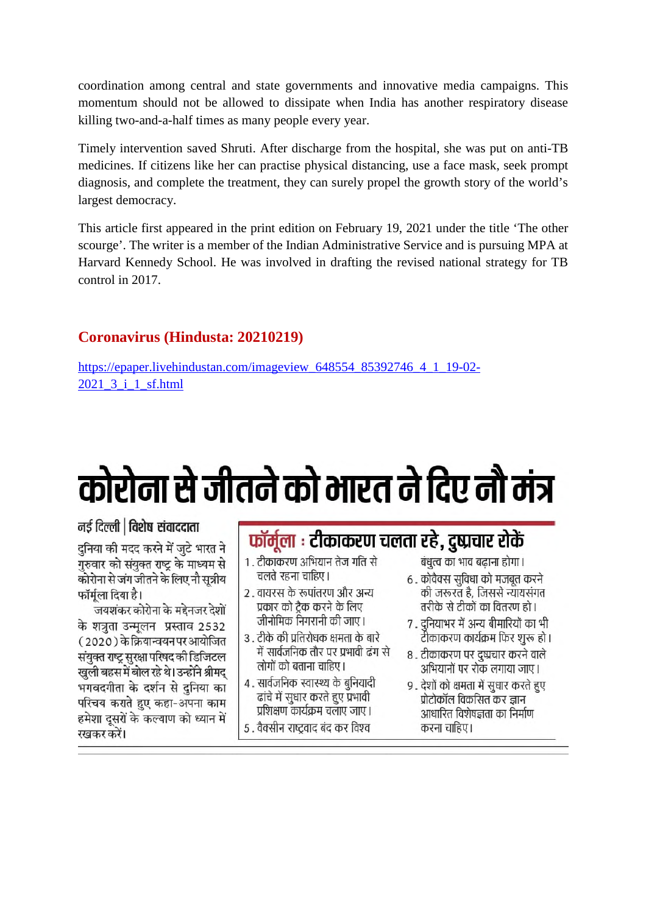coordination among central and state governments and innovative media campaigns. This momentum should not be allowed to dissipate when India has another respiratory disease killing two-and-a-half times as many people every year.

Timely intervention saved Shruti. After discharge from the hospital, she was put on anti-TB medicines. If citizens like her can practise physical distancing, use a face mask, seek prompt diagnosis, and complete the treatment, they can surely propel the growth story of the world's largest democracy.

This article first appeared in the print edition on February 19, 2021 under the title 'The other scourge'. The writer is a member of the Indian Administrative Service and is pursuing MPA at Harvard Kennedy School. He was involved in drafting the revised national strategy for TB control in 2017.

#### **Coronavirus (Hindusta: 20210219)**

https://epaper.livehindustan.com/imageview\_648554\_85392746\_4\_1\_19-02-2021\_3\_i\_1\_sf.html

## कोरोना से जीतने को भारत ने दिए नौ मंत्र

नई दिल्ली | विशेष संवाददाता

दनिया की मदद करने में जुटे भारत ने गुरुवार को संयुक्त राष्ट्र के माध्यम से कोरोना से जंग जीतने के लिए नौ सुत्रीय फॉर्मला दिया है।

जयशंकर कोरोना के मद्देनजर देशों के शत्रता उन्मलन प्रस्ताव 2532 (2020) के क्रियान्वयन पर आयोजित संयुक्त राष्ट्र सुरक्षा परिषद की डिजिटल खुली बहस में बोल रहे थे। उन्होंने श्रीमद भगवदगीता के दर्शन से दुनिया का परिचय कराते हुए कहा-अपना काम हमेशा दसरों के कल्याण को ध्यान में रखकर करें।

#### फॉर्मूला : टीकाकरण चलता रहे, दुष्प्रचार रोकें

- 1 . टीकाकरण अभियान तेज गति से चलते रहना चाहिए।
- २ . वायरस के रूपांतरण और अन्य प्रकार को टैक करने के लिए जीनोमिक निगरानी की जाए।
- ३ . टीके की प्रतिरोधक क्षमता के बारे में सार्वजनिक तौर पर प्रभावी ढंग से लोगों को बताना चाहिए।
- ४. सार्वजनिक स्वास्थ्य के बनियादी ढांचे में सधार करते हए प्रभावी प्रशिक्षण कार्यक्रम चलाए जाए।
- 5 . वैक्सीन राष्टवाद बंद कर विश्व

बंधुत्व का भाव बढ़ाना होगा।

- ६ . कोवैक्स सुविधा को मजबुत करने की जरूरत है, जिससे न्यायसंगत तरीके से टीकों का वितरण हो ।
- 7 . दुनियाभर में अन्य बीमारियों का भी टीकाकरण कार्यक्रम फिर शुरू हो।
- ८ . टीकाकरण पर दृष्प्रचार करने वाले अभियानों पर रोक लगाया जाए।
- 9 . देशों को क्षमता में सुधार करते हुए प्रोटोकॉल विकसित कर ज्ञान आधारित विशेषज्ञता का निर्माण करना चाहिए।